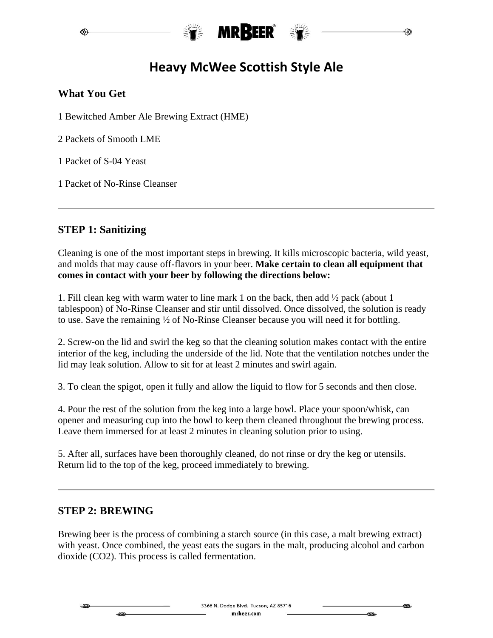

# **Heavy McWee Scottish Style Ale**

## **What You Get**

1 Bewitched Amber Ale Brewing Extract (HME)

2 Packets of Smooth LME

1 Packet of S-04 Yeast

1 Packet of No-Rinse Cleanser

## **STEP 1: Sanitizing**

Cleaning is one of the most important steps in brewing. It kills microscopic bacteria, wild yeast, and molds that may cause off-flavors in your beer. **Make certain to clean all equipment that comes in contact with your beer by following the directions below:**

1. Fill clean keg with warm water to line mark 1 on the back, then add ½ pack (about 1 tablespoon) of No-Rinse Cleanser and stir until dissolved. Once dissolved, the solution is ready to use. Save the remaining ½ of No-Rinse Cleanser because you will need it for bottling.

2. Screw-on the lid and swirl the keg so that the cleaning solution makes contact with the entire interior of the keg, including the underside of the lid. Note that the ventilation notches under the lid may leak solution. Allow to sit for at least 2 minutes and swirl again.

3. To clean the spigot, open it fully and allow the liquid to flow for 5 seconds and then close.

4. Pour the rest of the solution from the keg into a large bowl. Place your spoon/whisk, can opener and measuring cup into the bowl to keep them cleaned throughout the brewing process. Leave them immersed for at least 2 minutes in cleaning solution prior to using.

5. After all, surfaces have been thoroughly cleaned, do not rinse or dry the keg or utensils. Return lid to the top of the keg, proceed immediately to brewing.

#### **STEP 2: BREWING**

Brewing beer is the process of combining a starch source (in this case, a malt brewing extract) with yeast. Once combined, the yeast eats the sugars in the malt, producing alcohol and carbon dioxide (CO2). This process is called fermentation.

 $\frac{1}{2}$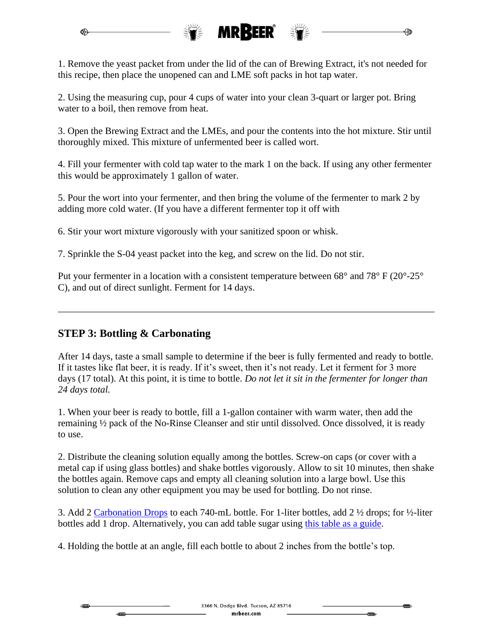

1. Remove the yeast packet from under the lid of the can of Brewing Extract, it's not needed for this recipe, then place the unopened can and LME soft packs in hot tap water.

2. Using the measuring cup, pour 4 cups of water into your clean 3-quart or larger pot. Bring water to a boil, then remove from heat.

3. Open the Brewing Extract and the LMEs, and pour the contents into the hot mixture. Stir until thoroughly mixed. This mixture of unfermented beer is called wort.

4. Fill your fermenter with cold tap water to the mark 1 on the back. If using any other fermenter this would be approximately 1 gallon of water.

5. Pour the wort into your fermenter, and then bring the volume of the fermenter to mark 2 by adding more cold water. (If you have a different fermenter top it off with

6. Stir your wort mixture vigorously with your sanitized spoon or whisk.

7. Sprinkle the S-04 yeast packet into the keg, and screw on the lid. Do not stir.

Put your fermenter in a location with a consistent temperature between 68° and 78° F (20°-25° C), and out of direct sunlight. Ferment for 14 days.

#### **STEP 3: Bottling & Carbonating**

After 14 days, taste a small sample to determine if the beer is fully fermented and ready to bottle. If it tastes like flat beer, it is ready. If it's sweet, then it's not ready. Let it ferment for 3 more days (17 total). At this point, it is time to bottle. *Do not let it sit in the fermenter for longer than 24 days total.*

1. When your beer is ready to bottle, fill a 1-gallon container with warm water, then add the remaining ½ pack of the No-Rinse Cleanser and stir until dissolved. Once dissolved, it is ready to use.

2. Distribute the cleaning solution equally among the bottles. Screw-on caps (or cover with a metal cap if using glass bottles) and shake bottles vigorously. Allow to sit 10 minutes, then shake the bottles again. Remove caps and empty all cleaning solution into a large bowl. Use this solution to clean any other equipment you may be used for bottling. Do not rinse.

3. Add 2 [Carbonation Drops](https://www.mrbeer.com/mrbeer-carbonation-drops) to each 740-mL bottle. For 1-liter bottles, add 2 ½ drops; for ½-liter bottles add 1 drop. Alternatively, you can add table sugar using [this table as a guide.](https://www.mrbeer.com/mrbeer-carbonation-drops)

4. Holding the bottle at an angle, fill each bottle to about 2 inches from the bottle's top.

₩₩